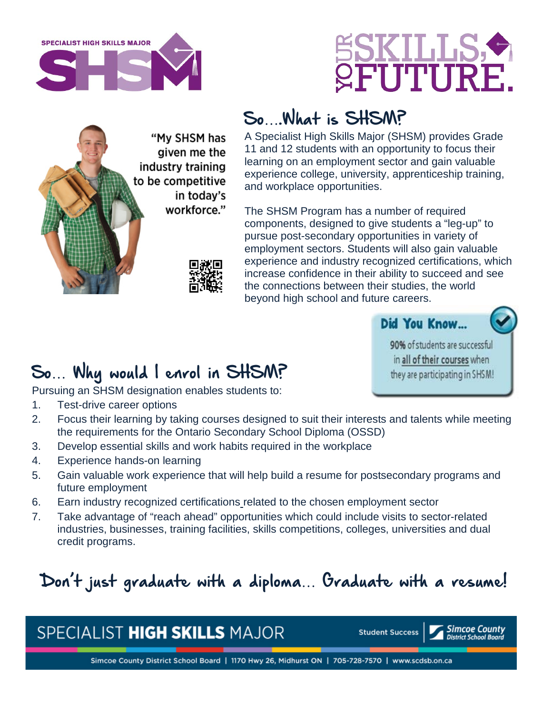





## So….What is SHSM?

A Specialist High Skills Major (SHSM) provides Grade 11 and 12 students with an opportunity to focus their learning on an employment sector and gain valuable experience college, university, apprenticeship training, and workplace opportunities.

The SHSM Program has a number of required components, designed to give students a "leg-up" to pursue post-secondary opportunities in variety of employment sectors. Students will also gain valuable experience and industry recognized certifications, which increase confidence in their ability to succeed and see the connections between their studies, the world beyond high school and future careers.

Did You Know...

90% of students are successful. in all of their courses when they are participating in SHSM!

## So… Why would I enrol in SHSM?

Pursuing an SHSM designation enables students to:

- 1. Test-drive career options
- 2. Focus their learning by taking courses designed to suit their interests and talents while meeting the requirements for the Ontario Secondary School Diploma (OSSD)
- 3. Develop essential skills and work habits required in the workplace
- 4. Experience hands-on learning
- 5. Gain valuable work experience that will help build a resume for postsecondary programs and future employment
- 6. Earn industry recognized certification[s](http://www.myshsm.ca/certifications.html) related to the chosen employment sector
- 7. Take advantage of "reach ahead" opportunities which could include visits to sector-related industries, businesses, training facilities, skills competitions, colleges, universities and dual credit programs.

# Don't just graduate with a diploma… Graduate with a resume!

#### SPECIALIST HIGH SKILLS MAJOR

**Student Success**